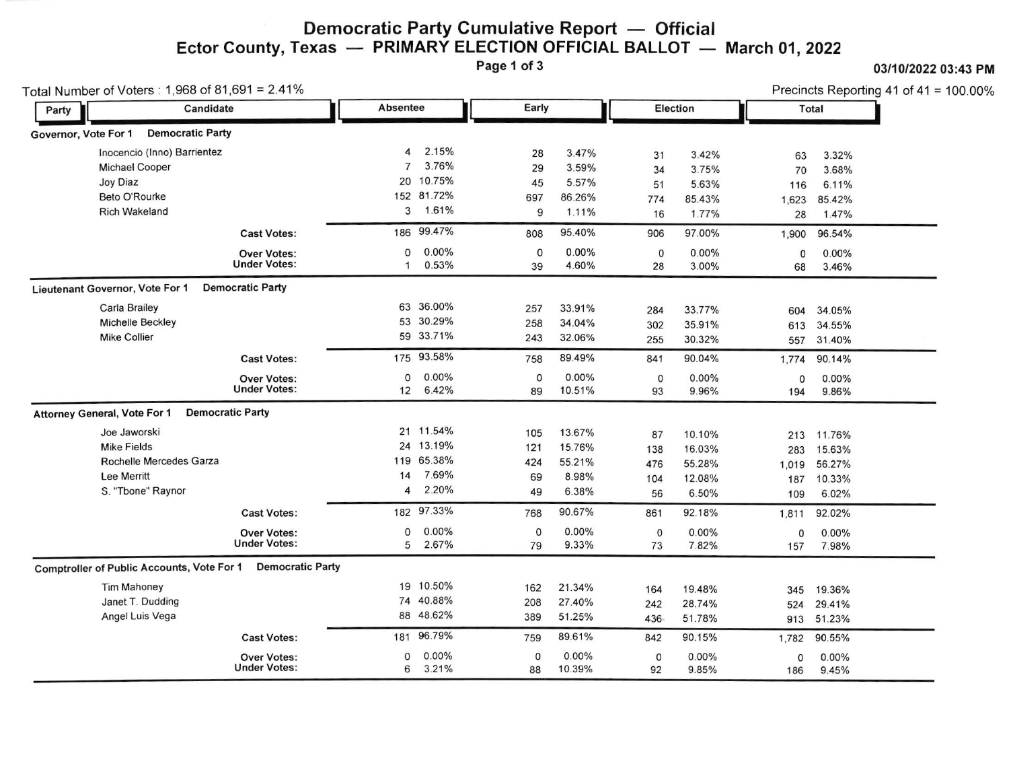# Democratic Party Cumulative Report — Official<br>exas — PRIMARY ELECTION OFFICIAL BALLOT — Ector County, Texas — PRIMARY ELECTION OFFICIAL BALLOT — March 01, 2022<br>Page 1 of 3

0311012022 03:43 PM

|       | Total Number of Voters: 1,968 of 81,691 = 2.41%   |                         |                 |            |              |          |              |          |             | Precincts Reporting 41 of 41 = $100.00\%$ |  |
|-------|---------------------------------------------------|-------------------------|-----------------|------------|--------------|----------|--------------|----------|-------------|-------------------------------------------|--|
| Party | Candidate                                         |                         | <b>Absentee</b> |            |              | Early    |              | Election |             | Total                                     |  |
|       | Governor, Vote For 1<br><b>Democratic Party</b>   |                         |                 |            |              |          |              |          |             |                                           |  |
|       | Inocencio (Inno) Barrientez                       |                         | 4               | 2.15%      | 28           | 3.47%    | 31           | 3.42%    | 63          | 3.32%                                     |  |
|       | <b>Michael Cooper</b>                             |                         | $\overline{7}$  | 3.76%      | 29           | 3.59%    | 34           | 3.75%    | 70          | 3.68%                                     |  |
|       | Joy Diaz                                          |                         |                 | 20 10.75%  | 45           | 5.57%    | 51           | 5.63%    | 116         | 6.11%                                     |  |
|       | Beto O'Rourke                                     |                         |                 | 152 81.72% | 697          | 86.26%   | 774          | 85.43%   | 1,623       | 85.42%                                    |  |
|       | <b>Rich Wakeland</b>                              |                         | 3               | 1.61%      | 9            | 1.11%    | 16           | 1.77%    | 28          | 1.47%                                     |  |
|       |                                                   | <b>Cast Votes:</b>      |                 | 186 99.47% | 808          | 95.40%   | 906          | 97.00%   | 1,900       | 96.54%                                    |  |
|       |                                                   | <b>Over Votes:</b>      | 0               | 0.00%      | 0            | $0.00\%$ | $\mathbf 0$  | 0.00%    | $\mathbf 0$ | $0.00\%$                                  |  |
|       |                                                   | <b>Under Votes:</b>     | $\mathbf{1}$    | 0.53%      | 39           | 4.60%    | 28           | 3.00%    | 68          | 3.46%                                     |  |
|       | Lieutenant Governor, Vote For 1                   | <b>Democratic Party</b> |                 |            |              |          |              |          |             |                                           |  |
|       | <b>Carla Brailey</b>                              |                         |                 | 63 36.00%  | 257          | 33.91%   | 284          | 33.77%   | 604         | 34.05%                                    |  |
|       | Michelle Beckley                                  |                         |                 | 53 30.29%  | 258          | 34.04%   | 302          | 35.91%   | 613         | 34.55%                                    |  |
|       | <b>Mike Collier</b>                               |                         |                 | 59 33.71%  | 243          | 32.06%   | 255          | 30.32%   | 557         | 31.40%                                    |  |
|       |                                                   | <b>Cast Votes:</b>      |                 | 175 93.58% | 758          | 89.49%   | 841          | 90.04%   | 1,774       | 90.14%                                    |  |
|       |                                                   | <b>Over Votes:</b>      | 0               | 0.00%      | 0            | 0.00%    | 0            | 0.00%    | $\mathbf 0$ | $0.00\%$                                  |  |
|       |                                                   | <b>Under Votes:</b>     | 12              | 6.42%      | 89           | 10.51%   | 93           | 9.96%    | 194         | 9.86%                                     |  |
|       | <b>Attorney General, Vote For 1</b>               | <b>Democratic Party</b> |                 |            |              |          |              |          |             |                                           |  |
|       | Joe Jaworski                                      |                         |                 | 21 11.54%  | 105          | 13.67%   | 87           | 10.10%   | 213         | 11.76%                                    |  |
|       | <b>Mike Fields</b>                                |                         |                 | 24 13.19%  | 121          | 15.76%   | 138          | 16.03%   | 283         | 15.63%                                    |  |
|       | Rochelle Mercedes Garza                           |                         |                 | 119 65.38% | 424          | 55.21%   | 476          | 55.28%   | 1,019       | 56.27%                                    |  |
|       | <b>Lee Merritt</b>                                |                         | 14              | 7.69%      | 69           | 8.98%    | 104          | 12.08%   | 187         | 10.33%                                    |  |
|       | S. "Tbone" Raynor                                 |                         | 4               | 2.20%      | 49           | 6.38%    | 56           | 6.50%    | 109         | 6.02%                                     |  |
|       |                                                   | <b>Cast Votes:</b>      |                 | 182 97.33% | 768          | 90.67%   | 861          | 92.18%   | 1,811       | 92.02%                                    |  |
|       |                                                   | <b>Over Votes:</b>      | 0               | $0.00\%$   | 0            | $0.00\%$ | $\mathbf 0$  | 0.00%    | 0           | 0.00%                                     |  |
|       |                                                   | <b>Under Votes:</b>     | 5               | 2.67%      | 79           | 9.33%    | 73           | 7.82%    | 157         | 7.98%                                     |  |
|       | <b>Comptroller of Public Accounts, Vote For 1</b> | <b>Democratic Party</b> |                 |            |              |          |              |          |             |                                           |  |
|       | <b>Tim Mahoney</b>                                |                         |                 | 19 10.50%  | 162          | 21.34%   | 164          | 19.48%   | 345         | 19.36%                                    |  |
|       | Janet T. Dudding                                  |                         |                 | 74 40.88%  | 208          | 27.40%   | 242          | 28.74%   | 524         | 29.41%                                    |  |
|       | Angel Luis Vega                                   |                         |                 | 88 48.62%  | 389          | 51.25%   | 436          | 51.78%   |             | 913 51.23%                                |  |
|       |                                                   | <b>Cast Votes:</b>      | 181             | 96.79%     | 759          | 89.61%   | 842          | 90.15%   | 1,782       | 90.55%                                    |  |
|       |                                                   | <b>Over Votes:</b>      | $\mathbf 0$     | $0.00\%$   | $\mathsf{O}$ | $0.00\%$ | $\mathsf{o}$ | 0.00%    | 0           | 0.00%                                     |  |
|       |                                                   | <b>Under Votes:</b>     | 6               | 3.21%      | 88           | 10.39%   | 92           | 9.85%    | 186         | 9.45%                                     |  |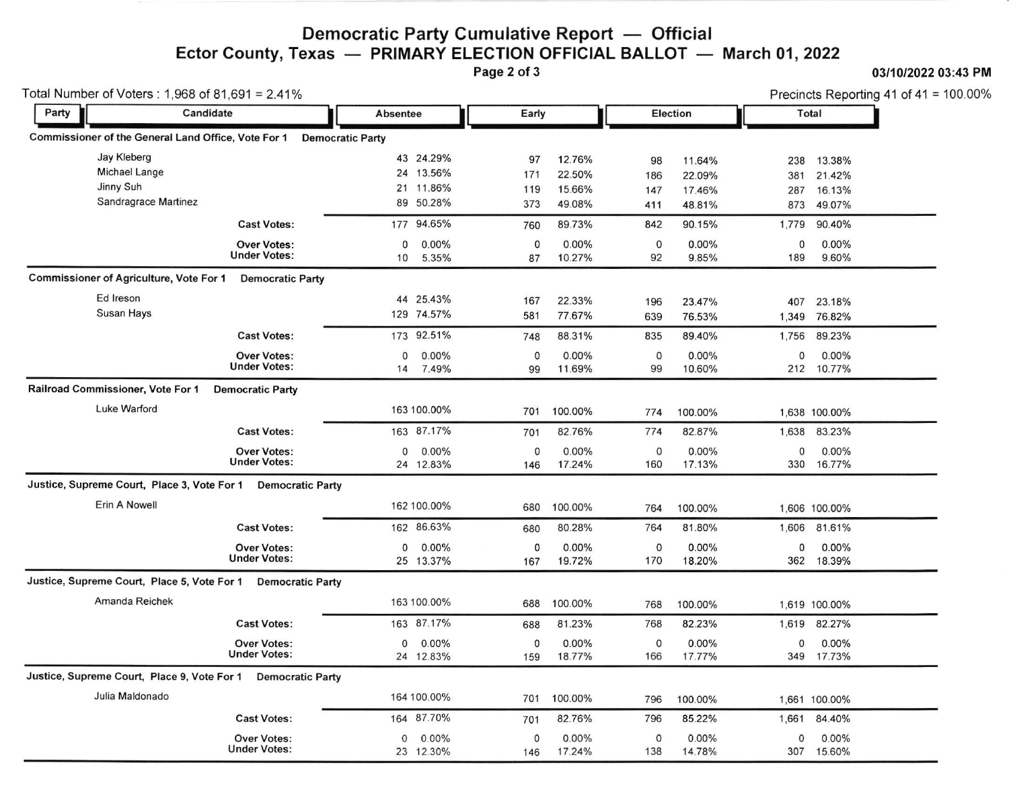# Democratic Party Cumulative Report — Official<br>exas — PRIMARY ELECTION OFFICIAL BALLOT — Ector County, Texas — PRIMARY ELECTION OFFICIAL BALLOT — March 01, 2022<br>Page 2 of 3

#### 0311012022 03:43 PM

| Total Number of Voters: 1,968 of 81,691 = 2.41% |                                                              |                         |                         |             |             |          |             | Precincts Reporting 41 of 41 = 100.00% |       |               |  |
|-------------------------------------------------|--------------------------------------------------------------|-------------------------|-------------------------|-------------|-------------|----------|-------------|----------------------------------------|-------|---------------|--|
| Party                                           | Candidate                                                    |                         | Absentee                |             | Early       |          |             | Election                               |       | Total         |  |
|                                                 | Commissioner of the General Land Office, Vote For 1          |                         | <b>Democratic Party</b> |             |             |          |             |                                        |       |               |  |
|                                                 | Jay Kleberg                                                  |                         |                         | 43 24.29%   | 97          | 12.76%   | 98          | 11.64%                                 | 238   | 13.38%        |  |
|                                                 | <b>Michael Lange</b>                                         |                         |                         | 24 13.56%   | 171         | 22.50%   | 186         | 22.09%                                 | 381   | 21.42%        |  |
|                                                 | Jinny Suh                                                    |                         |                         | 21 11.86%   | 119         | 15.66%   | 147         | 17.46%                                 | 287   | 16.13%        |  |
|                                                 | Sandragrace Martinez                                         |                         |                         | 89 50.28%   | 373         | 49.08%   | 411         | 48.81%                                 | 873   | 49.07%        |  |
|                                                 |                                                              | <b>Cast Votes:</b>      |                         | 177 94.65%  | 760         | 89.73%   | 842         | 90.15%                                 | 1,779 | 90.40%        |  |
|                                                 |                                                              | <b>Over Votes:</b>      | 0                       | 0.00%       | 0           | 0.00%    | $\mathbf 0$ | 0.00%                                  | 0     | 0.00%         |  |
|                                                 |                                                              | <b>Under Votes:</b>     | 10                      | 5.35%       | 87          | 10.27%   | 92          | 9.85%                                  | 189   | 9.60%         |  |
|                                                 | <b>Commissioner of Agriculture, Vote For 1</b>               | <b>Democratic Party</b> |                         |             |             |          |             |                                        |       |               |  |
|                                                 | Ed Ireson                                                    |                         |                         | 44 25.43%   | 167         | 22.33%   | 196         | 23.47%                                 | 407   | 23.18%        |  |
|                                                 | Susan Hays                                                   |                         |                         | 129 74.57%  | 581         | 77.67%   | 639         | 76.53%                                 |       | 1,349 76.82%  |  |
|                                                 |                                                              | <b>Cast Votes:</b>      |                         | 173 92.51%  | 748         | 88.31%   | 835         | 89.40%                                 | 1,756 | 89.23%        |  |
|                                                 |                                                              | <b>Over Votes:</b>      | 0                       | 0.00%       | $\mathbf 0$ | 0.00%    | 0           | 0.00%                                  | 0     | 0.00%         |  |
|                                                 |                                                              | <b>Under Votes:</b>     |                         | 14 7.49%    | 99          | 11.69%   | 99          | 10.60%                                 |       | 212 10.77%    |  |
|                                                 | Railroad Commissioner, Vote For 1                            | <b>Democratic Party</b> |                         |             |             |          |             |                                        |       |               |  |
|                                                 | Luke Warford                                                 |                         |                         | 163 100.00% | 701         | 100.00%  | 774         | 100.00%                                |       | 1,638 100.00% |  |
|                                                 |                                                              | <b>Cast Votes:</b>      |                         | 163 87.17%  | 701         | 82.76%   | 774         | 82.87%                                 |       | 1,638 83.23%  |  |
|                                                 |                                                              | <b>Over Votes:</b>      | 0                       | 0.00%       | $\mathbf 0$ | $0.00\%$ | 0           | 0.00%                                  | 0     | 0.00%         |  |
|                                                 |                                                              | <b>Under Votes:</b>     |                         | 24 12.83%   | 146         | 17.24%   | 160         | 17.13%                                 |       | 330 16.77%    |  |
|                                                 | Justice, Supreme Court, Place 3, Vote For 1 Democratic Party |                         |                         |             |             |          |             |                                        |       |               |  |
|                                                 | Erin A Nowell                                                |                         |                         | 162 100.00% | 680         | 100.00%  | 764         | 100.00%                                |       | 1,606 100.00% |  |
|                                                 |                                                              | <b>Cast Votes:</b>      |                         | 162 86.63%  | 680         | 80.28%   | 764         | 81.80%                                 |       | 1,606 81.61%  |  |
|                                                 |                                                              | <b>Over Votes:</b>      | 0                       | $0.00\%$    | 0           | 0.00%    | 0           | $0.00\%$                               | 0     | 0.00%         |  |
|                                                 |                                                              | <b>Under Votes:</b>     |                         | 25 13.37%   | 167         | 19.72%   | 170         | 18.20%                                 |       | 362 18.39%    |  |
|                                                 | Justice, Supreme Court, Place 5, Vote For 1                  | <b>Democratic Party</b> |                         |             |             |          |             |                                        |       |               |  |
|                                                 | Amanda Reichek                                               |                         |                         | 163 100.00% | 688         | 100.00%  | 768         | 100.00%                                |       | 1,619 100.00% |  |
|                                                 |                                                              | <b>Cast Votes:</b>      |                         | 163 87.17%  | 688         | 81.23%   | 768         | 82.23%                                 | 1,619 | 82.27%        |  |
|                                                 |                                                              | <b>Over Votes:</b>      | 0                       | 0.00%       | 0           | 0.00%    | 0           | 0.00%                                  | 0     | 0.00%         |  |
|                                                 |                                                              | <b>Under Votes:</b>     |                         | 24 12.83%   | 159         | 18.77%   | 166         | 17.77%                                 | 349   | 17.73%        |  |
|                                                 | Justice, Supreme Court, Place 9, Vote For 1 Democratic Party |                         |                         |             |             |          |             |                                        |       |               |  |
|                                                 | Julia Maldonado                                              |                         |                         | 164 100.00% | 701         | 100.00%  | 796         | 100.00%                                |       | 1.661 100.00% |  |
|                                                 |                                                              | <b>Cast Votes:</b>      |                         | 164 87.70%  | 701         | 82.76%   | 796         | 85.22%                                 | 1,661 | 84.40%        |  |
|                                                 |                                                              | <b>Over Votes:</b>      | 0                       | $0.00\%$    | $\mathbf 0$ | $0.00\%$ | 0           | 0.00%                                  | 0     | 0.00%         |  |
|                                                 |                                                              | <b>Under Votes:</b>     |                         | 23 12.30%   | 146         | 17.24%   | 138         | 14.78%                                 |       | 307 15.60%    |  |